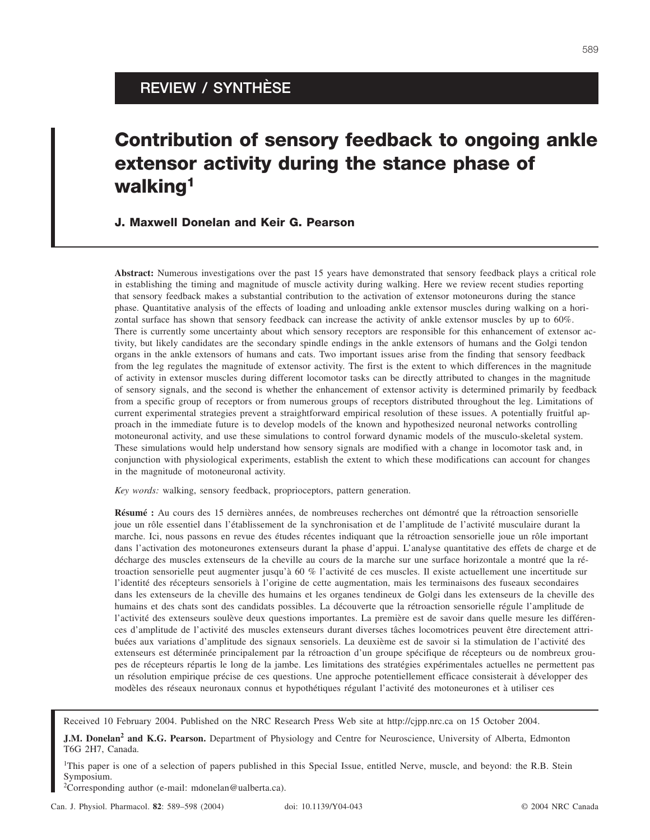## **REVIEW / SYNTHÈSE**

# **Contribution of sensory feedback to ongoing ankle extensor activity during the stance phase of walking1**

## **J. Maxwell Donelan and Keir G. Pearson**

**Abstract:** Numerous investigations over the past 15 years have demonstrated that sensory feedback plays a critical role in establishing the timing and magnitude of muscle activity during walking. Here we review recent studies reporting that sensory feedback makes a substantial contribution to the activation of extensor motoneurons during the stance phase. Quantitative analysis of the effects of loading and unloading ankle extensor muscles during walking on a horizontal surface has shown that sensory feedback can increase the activity of ankle extensor muscles by up to 60%. There is currently some uncertainty about which sensory receptors are responsible for this enhancement of extensor activity, but likely candidates are the secondary spindle endings in the ankle extensors of humans and the Golgi tendon organs in the ankle extensors of humans and cats. Two important issues arise from the finding that sensory feedback from the leg regulates the magnitude of extensor activity. The first is the extent to which differences in the magnitude of activity in extensor muscles during different locomotor tasks can be directly attributed to changes in the magnitude of sensory signals, and the second is whether the enhancement of extensor activity is determined primarily by feedback from a specific group of receptors or from numerous groups of receptors distributed throughout the leg. Limitations of current experimental strategies prevent a straightforward empirical resolution of these issues. A potentially fruitful approach in the immediate future is to develop models of the known and hypothesized neuronal networks controlling motoneuronal activity, and use these simulations to control forward dynamic models of the musculo-skeletal system. These simulations would help understand how sensory signals are modified with a change in locomotor task and, in conjunction with physiological experiments, establish the extent to which these modifications can account for changes in the magnitude of motoneuronal activity.

*Key words:* walking, sensory feedback, proprioceptors, pattern generation.

**Résumé :** Au cours des 15 dernières années, de nombreuses recherches ont démontré que la rétroaction sensorielle joue un rôle essentiel dans l'établissement de la synchronisation et de l'amplitude de l'activité musculaire durant la marche. Ici, nous passons en revue des études récentes indiquant que la rétroaction sensorielle joue un rôle important dans l'activation des motoneurones extenseurs durant la phase d'appui. L'analyse quantitative des effets de charge et de décharge des muscles extenseurs de la cheville au cours de la marche sur une surface horizontale a montré que la rétroaction sensorielle peut augmenter jusqu'à 60 % l'activité de ces muscles. Il existe actuellement une incertitude sur l'identité des récepteurs sensoriels à l'origine de cette augmentation, mais les terminaisons des fuseaux secondaires dans les extenseurs de la cheville des humains et les organes tendineux de Golgi dans les extenseurs de la cheville des humains et des chats sont des candidats possibles. La découverte que la rétroaction sensorielle régule l'amplitude de l'activité des extenseurs soulève deux questions importantes. La première est de savoir dans quelle mesure les différences d'amplitude de l'activité des muscles extenseurs durant diverses tâches locomotrices peuvent être directement attribuées aux variations d'amplitude des signaux sensoriels. La deuxième est de savoir si la stimulation de l'activité des extenseurs est déterminée principalement par la rétroaction d'un groupe spécifique de récepteurs ou de nombreux groupes de récepteurs répartis le long de la jambe. Les limitations des stratégies expérimentales actuelles ne permettent pas un résolution empirique précise de ces questions. Une approche potentiellement efficace consisterait à développer des modèles des réseaux neuronaux connus et hypothétiques régulant l'activité des motoneurones et à utiliser ces

Received 10 February 2004. Published on the NRC Research Press Web site at http://cjpp.nrc.ca on 15 October 2004.

**J.M. Donelan<sup>2</sup> and K.G. Pearson.** Department of Physiology and Centre for Neuroscience, University of Alberta, Edmonton T6G 2H7, Canada.

<sup>1</sup>This paper is one of a selection of papers published in this Special Issue, entitled Nerve, muscle, and beyond: the R.B. Stein Symposium.

<sup>2</sup>Corresponding author (e-mail: mdonelan@ualberta.ca).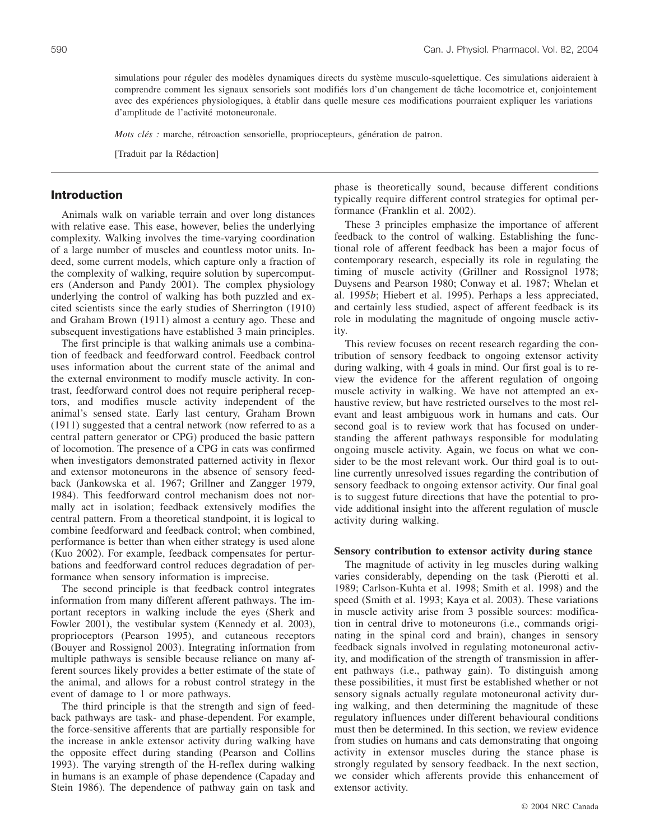simulations pour réguler des modèles dynamiques directs du système musculo-squelettique. Ces simulations aideraient à comprendre comment les signaux sensoriels sont modifiés lors d'un changement de tâche locomotrice et, conjointement avec des expériences physiologiques, à établir dans quelle mesure ces modifications pourraient expliquer les variations d'amplitude de l'activité motoneuronale.

*Mots clés :* marche, rétroaction sensorielle, propriocepteurs, génération de patron.

[Traduit par la Rédaction]

#### **Introduction**

Animals walk on variable terrain and over long distances with relative ease. This ease, however, belies the underlying complexity. Walking involves the time-varying coordination of a large number of muscles and countless motor units. Indeed, some current models, which capture only a fraction of the complexity of walking, require solution by supercomputers (Anderson and Pandy 2001). The complex physiology underlying the control of walking has both puzzled and excited scientists since the early studies of Sherrington (1910) and Graham Brown (1911) almost a century ago. These and subsequent investigations have established 3 main principles.

The first principle is that walking animals use a combination of feedback and feedforward control. Feedback control uses information about the current state of the animal and the external environment to modify muscle activity. In contrast, feedforward control does not require peripheral receptors, and modifies muscle activity independent of the animal's sensed state. Early last century, Graham Brown (1911) suggested that a central network (now referred to as a central pattern generator or CPG) produced the basic pattern of locomotion. The presence of a CPG in cats was confirmed when investigators demonstrated patterned activity in flexor and extensor motoneurons in the absence of sensory feedback (Jankowska et al. 1967; Grillner and Zangger 1979, 1984). This feedforward control mechanism does not normally act in isolation; feedback extensively modifies the central pattern. From a theoretical standpoint, it is logical to combine feedforward and feedback control; when combined, performance is better than when either strategy is used alone (Kuo 2002). For example, feedback compensates for perturbations and feedforward control reduces degradation of performance when sensory information is imprecise.

The second principle is that feedback control integrates information from many different afferent pathways. The important receptors in walking include the eyes (Sherk and Fowler 2001), the vestibular system (Kennedy et al. 2003), proprioceptors (Pearson 1995), and cutaneous receptors (Bouyer and Rossignol 2003). Integrating information from multiple pathways is sensible because reliance on many afferent sources likely provides a better estimate of the state of the animal, and allows for a robust control strategy in the event of damage to 1 or more pathways.

The third principle is that the strength and sign of feedback pathways are task- and phase-dependent. For example, the force-sensitive afferents that are partially responsible for the increase in ankle extensor activity during walking have the opposite effect during standing (Pearson and Collins 1993). The varying strength of the H-reflex during walking in humans is an example of phase dependence (Capaday and Stein 1986). The dependence of pathway gain on task and phase is theoretically sound, because different conditions typically require different control strategies for optimal performance (Franklin et al. 2002).

These 3 principles emphasize the importance of afferent feedback to the control of walking. Establishing the functional role of afferent feedback has been a major focus of contemporary research, especially its role in regulating the timing of muscle activity (Grillner and Rossignol 1978; Duysens and Pearson 1980; Conway et al. 1987; Whelan et al. 1995*b*; Hiebert et al. 1995). Perhaps a less appreciated, and certainly less studied, aspect of afferent feedback is its role in modulating the magnitude of ongoing muscle activity.

This review focuses on recent research regarding the contribution of sensory feedback to ongoing extensor activity during walking, with 4 goals in mind. Our first goal is to review the evidence for the afferent regulation of ongoing muscle activity in walking. We have not attempted an exhaustive review, but have restricted ourselves to the most relevant and least ambiguous work in humans and cats. Our second goal is to review work that has focused on understanding the afferent pathways responsible for modulating ongoing muscle activity. Again, we focus on what we consider to be the most relevant work. Our third goal is to outline currently unresolved issues regarding the contribution of sensory feedback to ongoing extensor activity. Our final goal is to suggest future directions that have the potential to provide additional insight into the afferent regulation of muscle activity during walking.

#### **Sensory contribution to extensor activity during stance**

The magnitude of activity in leg muscles during walking varies considerably, depending on the task (Pierotti et al. 1989; Carlson-Kuhta et al. 1998; Smith et al. 1998) and the speed (Smith et al. 1993; Kaya et al. 2003). These variations in muscle activity arise from 3 possible sources: modification in central drive to motoneurons (i.e., commands originating in the spinal cord and brain), changes in sensory feedback signals involved in regulating motoneuronal activity, and modification of the strength of transmission in afferent pathways (i.e., pathway gain). To distinguish among these possibilities, it must first be established whether or not sensory signals actually regulate motoneuronal activity during walking, and then determining the magnitude of these regulatory influences under different behavioural conditions must then be determined. In this section, we review evidence from studies on humans and cats demonstrating that ongoing activity in extensor muscles during the stance phase is strongly regulated by sensory feedback. In the next section, we consider which afferents provide this enhancement of extensor activity.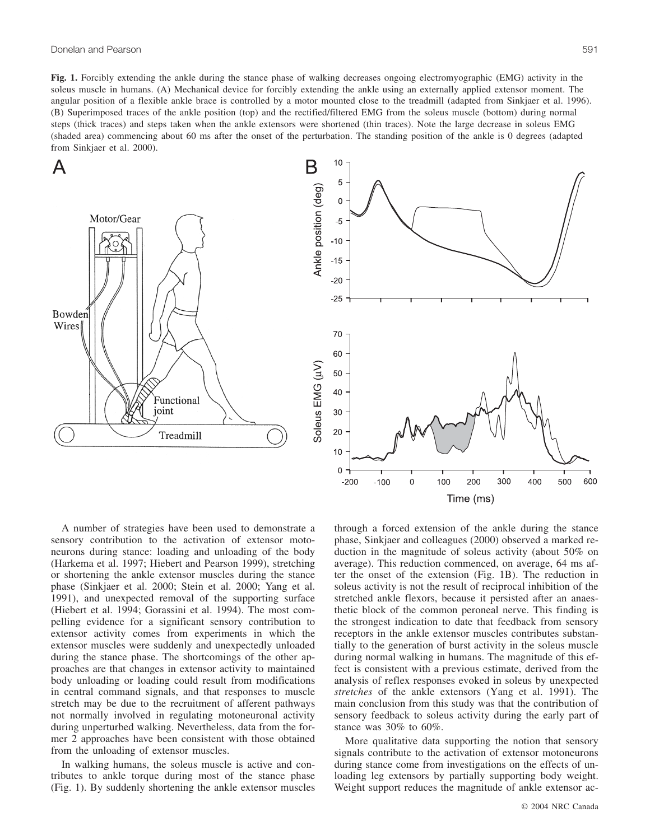**Fig. 1.** Forcibly extending the ankle during the stance phase of walking decreases ongoing electromyographic (EMG) activity in the soleus muscle in humans. (A) Mechanical device for forcibly extending the ankle using an externally applied extensor moment. The angular position of a flexible ankle brace is controlled by a motor mounted close to the treadmill (adapted from Sinkjaer et al. 1996). (B) Superimposed traces of the ankle position (top) and the rectified/filtered EMG from the soleus muscle (bottom) during normal steps (thick traces) and steps taken when the ankle extensors were shortened (thin traces). Note the large decrease in soleus EMG (shaded area) commencing about 60 ms after the onset of the perturbation. The standing position of the ankle is 0 degrees (adapted from Sinkjaer et al. 2000).





A number of strategies have been used to demonstrate a sensory contribution to the activation of extensor motoneurons during stance: loading and unloading of the body (Harkema et al. 1997; Hiebert and Pearson 1999), stretching or shortening the ankle extensor muscles during the stance phase (Sinkjaer et al. 2000; Stein et al. 2000; Yang et al. 1991), and unexpected removal of the supporting surface (Hiebert et al. 1994; Gorassini et al. 1994). The most compelling evidence for a significant sensory contribution to extensor activity comes from experiments in which the extensor muscles were suddenly and unexpectedly unloaded during the stance phase. The shortcomings of the other approaches are that changes in extensor activity to maintained body unloading or loading could result from modifications in central command signals, and that responses to muscle stretch may be due to the recruitment of afferent pathways not normally involved in regulating motoneuronal activity during unperturbed walking. Nevertheless, data from the former 2 approaches have been consistent with those obtained from the unloading of extensor muscles.

In walking humans, the soleus muscle is active and contributes to ankle torque during most of the stance phase (Fig. 1). By suddenly shortening the ankle extensor muscles through a forced extension of the ankle during the stance phase, Sinkjaer and colleagues (2000) observed a marked reduction in the magnitude of soleus activity (about 50% on average). This reduction commenced, on average, 64 ms after the onset of the extension (Fig. 1B). The reduction in soleus activity is not the result of reciprocal inhibition of the stretched ankle flexors, because it persisted after an anaesthetic block of the common peroneal nerve. This finding is the strongest indication to date that feedback from sensory receptors in the ankle extensor muscles contributes substantially to the generation of burst activity in the soleus muscle during normal walking in humans. The magnitude of this effect is consistent with a previous estimate, derived from the analysis of reflex responses evoked in soleus by unexpected *stretches* of the ankle extensors (Yang et al. 1991). The main conclusion from this study was that the contribution of sensory feedback to soleus activity during the early part of stance was 30% to 60%.

More qualitative data supporting the notion that sensory signals contribute to the activation of extensor motoneurons during stance come from investigations on the effects of unloading leg extensors by partially supporting body weight. Weight support reduces the magnitude of ankle extensor ac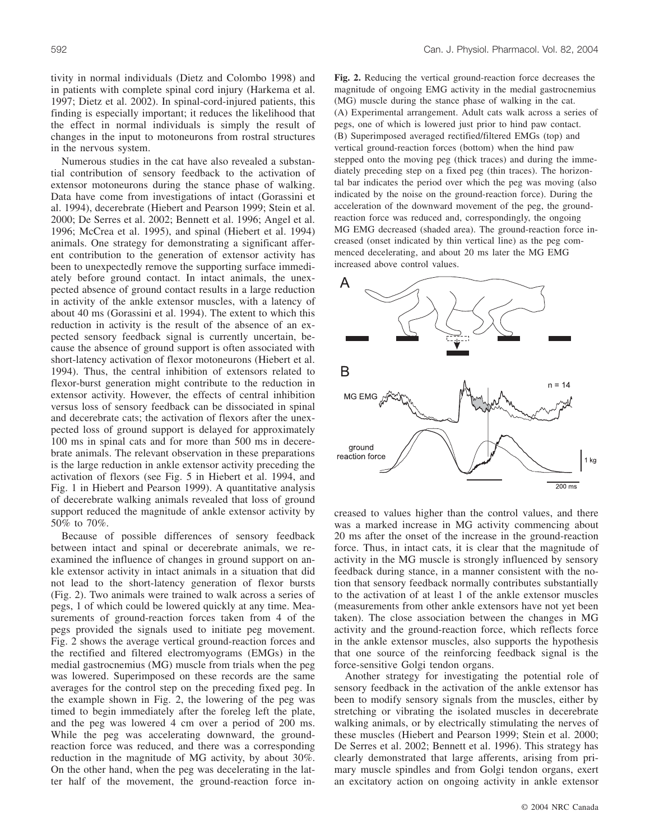tivity in normal individuals (Dietz and Colombo 1998) and in patients with complete spinal cord injury (Harkema et al. 1997; Dietz et al. 2002). In spinal-cord-injured patients, this finding is especially important; it reduces the likelihood that the effect in normal individuals is simply the result of changes in the input to motoneurons from rostral structures in the nervous system.

Numerous studies in the cat have also revealed a substantial contribution of sensory feedback to the activation of extensor motoneurons during the stance phase of walking. Data have come from investigations of intact (Gorassini et al. 1994), decerebrate (Hiebert and Pearson 1999; Stein et al. 2000; De Serres et al. 2002; Bennett et al. 1996; Angel et al. 1996; McCrea et al. 1995), and spinal (Hiebert et al. 1994) animals. One strategy for demonstrating a significant afferent contribution to the generation of extensor activity has been to unexpectedly remove the supporting surface immediately before ground contact. In intact animals, the unexpected absence of ground contact results in a large reduction in activity of the ankle extensor muscles, with a latency of about 40 ms (Gorassini et al. 1994). The extent to which this reduction in activity is the result of the absence of an expected sensory feedback signal is currently uncertain, because the absence of ground support is often associated with short-latency activation of flexor motoneurons (Hiebert et al. 1994). Thus, the central inhibition of extensors related to flexor-burst generation might contribute to the reduction in extensor activity. However, the effects of central inhibition versus loss of sensory feedback can be dissociated in spinal and decerebrate cats; the activation of flexors after the unexpected loss of ground support is delayed for approximately 100 ms in spinal cats and for more than 500 ms in decerebrate animals. The relevant observation in these preparations is the large reduction in ankle extensor activity preceding the activation of flexors (see Fig. 5 in Hiebert et al. 1994, and Fig. 1 in Hiebert and Pearson 1999). A quantitative analysis of decerebrate walking animals revealed that loss of ground support reduced the magnitude of ankle extensor activity by 50% to 70%.

Because of possible differences of sensory feedback between intact and spinal or decerebrate animals, we reexamined the influence of changes in ground support on ankle extensor activity in intact animals in a situation that did not lead to the short-latency generation of flexor bursts (Fig. 2). Two animals were trained to walk across a series of pegs, 1 of which could be lowered quickly at any time. Measurements of ground-reaction forces taken from 4 of the pegs provided the signals used to initiate peg movement. Fig. 2 shows the average vertical ground-reaction forces and the rectified and filtered electromyograms (EMGs) in the medial gastrocnemius (MG) muscle from trials when the peg was lowered. Superimposed on these records are the same averages for the control step on the preceding fixed peg. In the example shown in Fig. 2, the lowering of the peg was timed to begin immediately after the foreleg left the plate, and the peg was lowered 4 cm over a period of 200 ms. While the peg was accelerating downward, the groundreaction force was reduced, and there was a corresponding reduction in the magnitude of MG activity, by about 30%. On the other hand, when the peg was decelerating in the latter half of the movement, the ground-reaction force in**Fig. 2.** Reducing the vertical ground-reaction force decreases the magnitude of ongoing EMG activity in the medial gastrocnemius (MG) muscle during the stance phase of walking in the cat. (A) Experimental arrangement. Adult cats walk across a series of pegs, one of which is lowered just prior to hind paw contact. (B) Superimposed averaged rectified/filtered EMGs (top) and vertical ground-reaction forces (bottom) when the hind paw stepped onto the moving peg (thick traces) and during the immediately preceding step on a fixed peg (thin traces). The horizontal bar indicates the period over which the peg was moving (also indicated by the noise on the ground-reaction force). During the acceleration of the downward movement of the peg, the groundreaction force was reduced and, correspondingly, the ongoing MG EMG decreased (shaded area). The ground-reaction force increased (onset indicated by thin vertical line) as the peg commenced decelerating, and about 20 ms later the MG EMG increased above control values.



creased to values higher than the control values, and there was a marked increase in MG activity commencing about 20 ms after the onset of the increase in the ground-reaction force. Thus, in intact cats, it is clear that the magnitude of activity in the MG muscle is strongly influenced by sensory feedback during stance, in a manner consistent with the notion that sensory feedback normally contributes substantially to the activation of at least 1 of the ankle extensor muscles (measurements from other ankle extensors have not yet been taken). The close association between the changes in MG activity and the ground-reaction force, which reflects force in the ankle extensor muscles, also supports the hypothesis that one source of the reinforcing feedback signal is the force-sensitive Golgi tendon organs.

Another strategy for investigating the potential role of sensory feedback in the activation of the ankle extensor has been to modify sensory signals from the muscles, either by stretching or vibrating the isolated muscles in decerebrate walking animals, or by electrically stimulating the nerves of these muscles (Hiebert and Pearson 1999; Stein et al. 2000; De Serres et al. 2002; Bennett et al. 1996). This strategy has clearly demonstrated that large afferents, arising from primary muscle spindles and from Golgi tendon organs, exert an excitatory action on ongoing activity in ankle extensor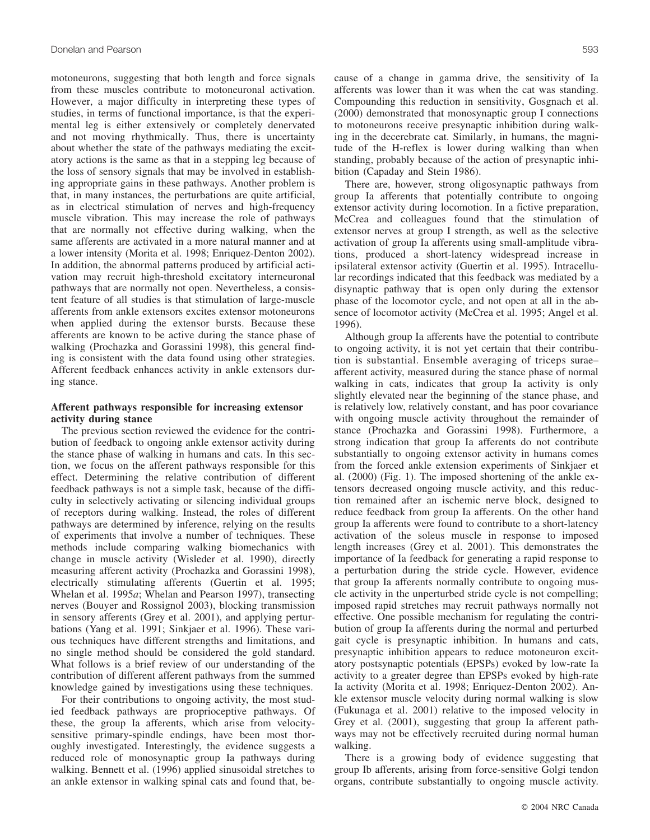motoneurons, suggesting that both length and force signals from these muscles contribute to motoneuronal activation. However, a major difficulty in interpreting these types of studies, in terms of functional importance, is that the experimental leg is either extensively or completely denervated and not moving rhythmically. Thus, there is uncertainty about whether the state of the pathways mediating the excitatory actions is the same as that in a stepping leg because of the loss of sensory signals that may be involved in establishing appropriate gains in these pathways. Another problem is that, in many instances, the perturbations are quite artificial, as in electrical stimulation of nerves and high-frequency muscle vibration. This may increase the role of pathways that are normally not effective during walking, when the same afferents are activated in a more natural manner and at a lower intensity (Morita et al. 1998; Enriquez-Denton 2002). In addition, the abnormal patterns produced by artificial activation may recruit high-threshold excitatory interneuronal pathways that are normally not open. Nevertheless, a consistent feature of all studies is that stimulation of large-muscle afferents from ankle extensors excites extensor motoneurons when applied during the extensor bursts. Because these afferents are known to be active during the stance phase of walking (Prochazka and Gorassini 1998), this general finding is consistent with the data found using other strategies. Afferent feedback enhances activity in ankle extensors during stance.

#### **Afferent pathways responsible for increasing extensor activity during stance**

The previous section reviewed the evidence for the contribution of feedback to ongoing ankle extensor activity during the stance phase of walking in humans and cats. In this section, we focus on the afferent pathways responsible for this effect. Determining the relative contribution of different feedback pathways is not a simple task, because of the difficulty in selectively activating or silencing individual groups of receptors during walking. Instead, the roles of different pathways are determined by inference, relying on the results of experiments that involve a number of techniques. These methods include comparing walking biomechanics with change in muscle activity (Wisleder et al. 1990), directly measuring afferent activity (Prochazka and Gorassini 1998), electrically stimulating afferents (Guertin et al. 1995; Whelan et al. 1995*a*; Whelan and Pearson 1997), transecting nerves (Bouyer and Rossignol 2003), blocking transmission in sensory afferents (Grey et al. 2001), and applying perturbations (Yang et al. 1991; Sinkjaer et al. 1996). These various techniques have different strengths and limitations, and no single method should be considered the gold standard. What follows is a brief review of our understanding of the contribution of different afferent pathways from the summed knowledge gained by investigations using these techniques.

For their contributions to ongoing activity, the most studied feedback pathways are proprioceptive pathways. Of these, the group Ia afferents, which arise from velocitysensitive primary-spindle endings, have been most thoroughly investigated. Interestingly, the evidence suggests a reduced role of monosynaptic group Ia pathways during walking. Bennett et al. (1996) applied sinusoidal stretches to an ankle extensor in walking spinal cats and found that, because of a change in gamma drive, the sensitivity of Ia afferents was lower than it was when the cat was standing. Compounding this reduction in sensitivity, Gosgnach et al. (2000) demonstrated that monosynaptic group I connections to motoneurons receive presynaptic inhibition during walking in the decerebrate cat. Similarly, in humans, the magnitude of the H-reflex is lower during walking than when standing, probably because of the action of presynaptic inhibition (Capaday and Stein 1986).

There are, however, strong oligosynaptic pathways from group Ia afferents that potentially contribute to ongoing extensor activity during locomotion. In a fictive preparation, McCrea and colleagues found that the stimulation of extensor nerves at group I strength, as well as the selective activation of group Ia afferents using small-amplitude vibrations, produced a short-latency widespread increase in ipsilateral extensor activity (Guertin et al. 1995). Intracellular recordings indicated that this feedback was mediated by a disynaptic pathway that is open only during the extensor phase of the locomotor cycle, and not open at all in the absence of locomotor activity (McCrea et al. 1995; Angel et al. 1996).

Although group Ia afferents have the potential to contribute to ongoing activity, it is not yet certain that their contribution is substantial. Ensemble averaging of triceps surae– afferent activity, measured during the stance phase of normal walking in cats, indicates that group Ia activity is only slightly elevated near the beginning of the stance phase, and is relatively low, relatively constant, and has poor covariance with ongoing muscle activity throughout the remainder of stance (Prochazka and Gorassini 1998). Furthermore, a strong indication that group Ia afferents do not contribute substantially to ongoing extensor activity in humans comes from the forced ankle extension experiments of Sinkjaer et al. (2000) (Fig. 1). The imposed shortening of the ankle extensors decreased ongoing muscle activity, and this reduction remained after an ischemic nerve block, designed to reduce feedback from group Ia afferents. On the other hand group Ia afferents were found to contribute to a short-latency activation of the soleus muscle in response to imposed length increases (Grey et al. 2001). This demonstrates the importance of Ia feedback for generating a rapid response to a perturbation during the stride cycle. However, evidence that group Ia afferents normally contribute to ongoing muscle activity in the unperturbed stride cycle is not compelling; imposed rapid stretches may recruit pathways normally not effective. One possible mechanism for regulating the contribution of group Ia afferents during the normal and perturbed gait cycle is presynaptic inhibition. In humans and cats, presynaptic inhibition appears to reduce motoneuron excitatory postsynaptic potentials (EPSPs) evoked by low-rate Ia activity to a greater degree than EPSPs evoked by high-rate Ia activity (Morita et al. 1998; Enriquez-Denton 2002). Ankle extensor muscle velocity during normal walking is slow (Fukunaga et al. 2001) relative to the imposed velocity in Grey et al. (2001), suggesting that group Ia afferent pathways may not be effectively recruited during normal human walking.

There is a growing body of evidence suggesting that group Ib afferents, arising from force-sensitive Golgi tendon organs, contribute substantially to ongoing muscle activity.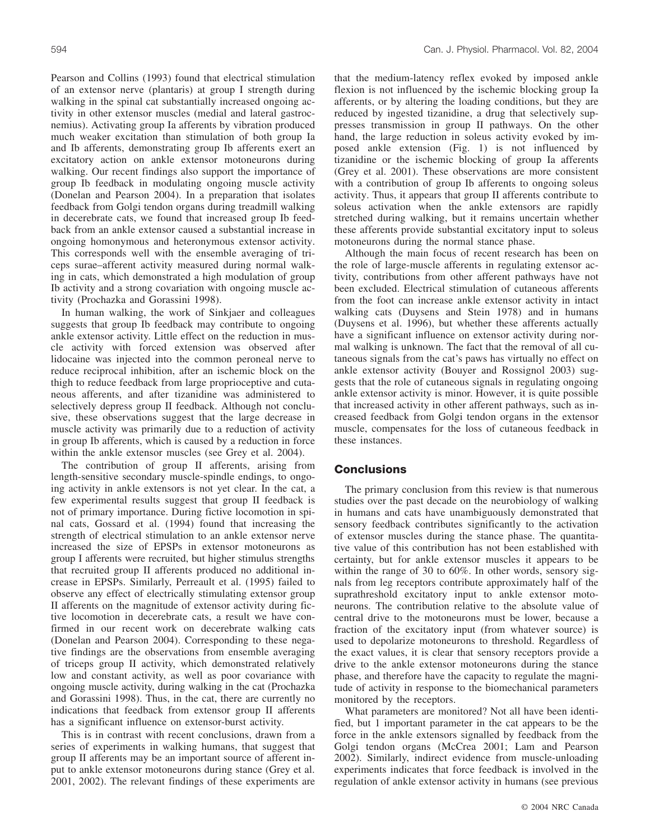Pearson and Collins (1993) found that electrical stimulation of an extensor nerve (plantaris) at group I strength during walking in the spinal cat substantially increased ongoing activity in other extensor muscles (medial and lateral gastrocnemius). Activating group Ia afferents by vibration produced much weaker excitation than stimulation of both group Ia and Ib afferents, demonstrating group Ib afferents exert an excitatory action on ankle extensor motoneurons during walking. Our recent findings also support the importance of group Ib feedback in modulating ongoing muscle activity (Donelan and Pearson 2004). In a preparation that isolates feedback from Golgi tendon organs during treadmill walking in decerebrate cats, we found that increased group Ib feedback from an ankle extensor caused a substantial increase in ongoing homonymous and heteronymous extensor activity. This corresponds well with the ensemble averaging of triceps surae–afferent activity measured during normal walking in cats, which demonstrated a high modulation of group Ib activity and a strong covariation with ongoing muscle activity (Prochazka and Gorassini 1998).

In human walking, the work of Sinkjaer and colleagues suggests that group Ib feedback may contribute to ongoing ankle extensor activity. Little effect on the reduction in muscle activity with forced extension was observed after lidocaine was injected into the common peroneal nerve to reduce reciprocal inhibition, after an ischemic block on the thigh to reduce feedback from large proprioceptive and cutaneous afferents, and after tizanidine was administered to selectively depress group II feedback. Although not conclusive, these observations suggest that the large decrease in muscle activity was primarily due to a reduction of activity in group Ib afferents, which is caused by a reduction in force within the ankle extensor muscles (see Grey et al. 2004).

The contribution of group II afferents, arising from length-sensitive secondary muscle-spindle endings, to ongoing activity in ankle extensors is not yet clear. In the cat, a few experimental results suggest that group II feedback is not of primary importance. During fictive locomotion in spinal cats, Gossard et al. (1994) found that increasing the strength of electrical stimulation to an ankle extensor nerve increased the size of EPSPs in extensor motoneurons as group I afferents were recruited, but higher stimulus strengths that recruited group II afferents produced no additional increase in EPSPs. Similarly, Perreault et al. (1995) failed to observe any effect of electrically stimulating extensor group II afferents on the magnitude of extensor activity during fictive locomotion in decerebrate cats, a result we have confirmed in our recent work on decerebrate walking cats (Donelan and Pearson 2004). Corresponding to these negative findings are the observations from ensemble averaging of triceps group II activity, which demonstrated relatively low and constant activity, as well as poor covariance with ongoing muscle activity, during walking in the cat (Prochazka and Gorassini 1998). Thus, in the cat, there are currently no indications that feedback from extensor group II afferents has a significant influence on extensor-burst activity.

This is in contrast with recent conclusions, drawn from a series of experiments in walking humans, that suggest that group II afferents may be an important source of afferent input to ankle extensor motoneurons during stance (Grey et al. 2001, 2002). The relevant findings of these experiments are

that the medium-latency reflex evoked by imposed ankle flexion is not influenced by the ischemic blocking group Ia afferents, or by altering the loading conditions, but they are reduced by ingested tizanidine, a drug that selectively suppresses transmission in group II pathways. On the other hand, the large reduction in soleus activity evoked by imposed ankle extension (Fig. 1) is not influenced by tizanidine or the ischemic blocking of group Ia afferents (Grey et al. 2001). These observations are more consistent with a contribution of group Ib afferents to ongoing soleus activity. Thus, it appears that group II afferents contribute to soleus activation when the ankle extensors are rapidly stretched during walking, but it remains uncertain whether these afferents provide substantial excitatory input to soleus motoneurons during the normal stance phase.

Although the main focus of recent research has been on the role of large-muscle afferents in regulating extensor activity, contributions from other afferent pathways have not been excluded. Electrical stimulation of cutaneous afferents from the foot can increase ankle extensor activity in intact walking cats (Duysens and Stein 1978) and in humans (Duysens et al. 1996), but whether these afferents actually have a significant influence on extensor activity during normal walking is unknown. The fact that the removal of all cutaneous signals from the cat's paws has virtually no effect on ankle extensor activity (Bouyer and Rossignol 2003) suggests that the role of cutaneous signals in regulating ongoing ankle extensor activity is minor. However, it is quite possible that increased activity in other afferent pathways, such as increased feedback from Golgi tendon organs in the extensor muscle, compensates for the loss of cutaneous feedback in these instances.

## **Conclusions**

The primary conclusion from this review is that numerous studies over the past decade on the neurobiology of walking in humans and cats have unambiguously demonstrated that sensory feedback contributes significantly to the activation of extensor muscles during the stance phase. The quantitative value of this contribution has not been established with certainty, but for ankle extensor muscles it appears to be within the range of 30 to 60%. In other words, sensory signals from leg receptors contribute approximately half of the suprathreshold excitatory input to ankle extensor motoneurons. The contribution relative to the absolute value of central drive to the motoneurons must be lower, because a fraction of the excitatory input (from whatever source) is used to depolarize motoneurons to threshold. Regardless of the exact values, it is clear that sensory receptors provide a drive to the ankle extensor motoneurons during the stance phase, and therefore have the capacity to regulate the magnitude of activity in response to the biomechanical parameters monitored by the receptors.

What parameters are monitored? Not all have been identified, but 1 important parameter in the cat appears to be the force in the ankle extensors signalled by feedback from the Golgi tendon organs (McCrea 2001; Lam and Pearson 2002). Similarly, indirect evidence from muscle-unloading experiments indicates that force feedback is involved in the regulation of ankle extensor activity in humans (see previous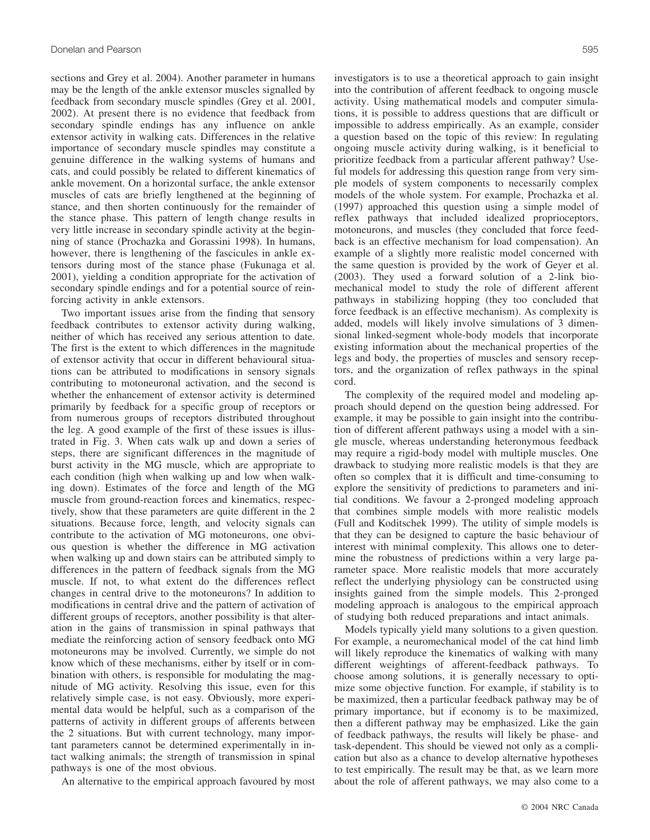sections and Grey et al. 2004). Another parameter in humans may be the length of the ankle extensor muscles signalled by feedback from secondary muscle spindles (Grey et al. 2001, 2002). At present there is no evidence that feedback from secondary spindle endings has any influence on ankle extensor activity in walking cats. Differences in the relative importance of secondary muscle spindles may constitute a genuine difference in the walking systems of humans and cats, and could possibly be related to different kinematics of ankle movement. On a horizontal surface, the ankle extensor muscles of cats are briefly lengthened at the beginning of stance, and then shorten continuously for the remainder of the stance phase. This pattern of length change results in very little increase in secondary spindle activity at the beginning of stance (Prochazka and Gorassini 1998). In humans, however, there is lengthening of the fascicules in ankle extensors during most of the stance phase (Fukunaga et al. 2001), yielding a condition appropriate for the activation of secondary spindle endings and for a potential source of reinforcing activity in ankle extensors.

Two important issues arise from the finding that sensory feedback contributes to extensor activity during walking, neither of which has received any serious attention to date. The first is the extent to which differences in the magnitude of extensor activity that occur in different behavioural situations can be attributed to modifications in sensory signals contributing to motoneuronal activation, and the second is whether the enhancement of extensor activity is determined primarily by feedback for a specific group of receptors or from numerous groups of receptors distributed throughout the leg. A good example of the first of these issues is illustrated in Fig. 3. When cats walk up and down a series of steps, there are significant differences in the magnitude of burst activity in the MG muscle, which are appropriate to each condition (high when walking up and low when walking down). Estimates of the force and length of the MG muscle from ground-reaction forces and kinematics, respectively, show that these parameters are quite different in the 2 situations. Because force, length, and velocity signals can contribute to the activation of MG motoneurons, one obvious question is whether the difference in MG activation when walking up and down stairs can be attributed simply to differences in the pattern of feedback signals from the MG muscle. If not, to what extent do the differences reflect changes in central drive to the motoneurons? In addition to modifications in central drive and the pattern of activation of different groups of receptors, another possibility is that alteration in the gains of transmission in spinal pathways that mediate the reinforcing action of sensory feedback onto MG motoneurons may be involved. Currently, we simple do not know which of these mechanisms, either by itself or in combination with others, is responsible for modulating the magnitude of MG activity. Resolving this issue, even for this relatively simple case, is not easy. Obviously, more experimental data would be helpful, such as a comparison of the patterns of activity in different groups of afferents between the 2 situations. But with current technology, many important parameters cannot be determined experimentally in intact walking animals; the strength of transmission in spinal pathways is one of the most obvious.

An alternative to the empirical approach favoured by most

investigators is to use a theoretical approach to gain insight

into the contribution of afferent feedback to ongoing muscle activity. Using mathematical models and computer simulations, it is possible to address questions that are difficult or impossible to address empirically. As an example, consider a question based on the topic of this review: In regulating ongoing muscle activity during walking, is it beneficial to prioritize feedback from a particular afferent pathway? Useful models for addressing this question range from very simple models of system components to necessarily complex models of the whole system. For example, Prochazka et al. (1997) approached this question using a simple model of reflex pathways that included idealized proprioceptors, motoneurons, and muscles (they concluded that force feedback is an effective mechanism for load compensation). An example of a slightly more realistic model concerned with the same question is provided by the work of Geyer et al. (2003). They used a forward solution of a 2-link biomechanical model to study the role of different afferent pathways in stabilizing hopping (they too concluded that force feedback is an effective mechanism). As complexity is added, models will likely involve simulations of 3 dimensional linked-segment whole-body models that incorporate existing information about the mechanical properties of the legs and body, the properties of muscles and sensory receptors, and the organization of reflex pathways in the spinal cord.

The complexity of the required model and modeling approach should depend on the question being addressed. For example, it may be possible to gain insight into the contribution of different afferent pathways using a model with a single muscle, whereas understanding heteronymous feedback may require a rigid-body model with multiple muscles. One drawback to studying more realistic models is that they are often so complex that it is difficult and time-consuming to explore the sensitivity of predictions to parameters and initial conditions. We favour a 2-pronged modeling approach that combines simple models with more realistic models (Full and Koditschek 1999). The utility of simple models is that they can be designed to capture the basic behaviour of interest with minimal complexity. This allows one to determine the robustness of predictions within a very large parameter space. More realistic models that more accurately reflect the underlying physiology can be constructed using insights gained from the simple models. This 2-pronged modeling approach is analogous to the empirical approach of studying both reduced preparations and intact animals.

Models typically yield many solutions to a given question. For example, a neuromechanical model of the cat hind limb will likely reproduce the kinematics of walking with many different weightings of afferent-feedback pathways. To choose among solutions, it is generally necessary to optimize some objective function. For example, if stability is to be maximized, then a particular feedback pathway may be of primary importance, but if economy is to be maximized, then a different pathway may be emphasized. Like the gain of feedback pathways, the results will likely be phase- and task-dependent. This should be viewed not only as a complication but also as a chance to develop alternative hypotheses to test empirically. The result may be that, as we learn more about the role of afferent pathways, we may also come to a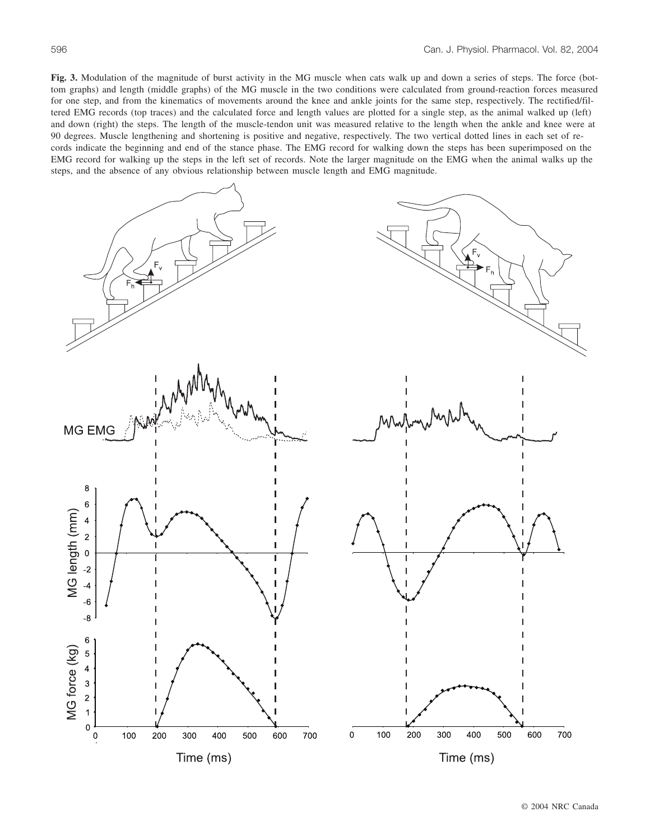**Fig. 3.** Modulation of the magnitude of burst activity in the MG muscle when cats walk up and down a series of steps. The force (bottom graphs) and length (middle graphs) of the MG muscle in the two conditions were calculated from ground-reaction forces measured for one step, and from the kinematics of movements around the knee and ankle joints for the same step, respectively. The rectified/filtered EMG records (top traces) and the calculated force and length values are plotted for a single step, as the animal walked up (left) and down (right) the steps. The length of the muscle-tendon unit was measured relative to the length when the ankle and knee were at 90 degrees. Muscle lengthening and shortening is positive and negative, respectively. The two vertical dotted lines in each set of records indicate the beginning and end of the stance phase. The EMG record for walking down the steps has been superimposed on the EMG record for walking up the steps in the left set of records. Note the larger magnitude on the EMG when the animal walks up the steps, and the absence of any obvious relationship between muscle length and EMG magnitude.



© 2004 NRC Canada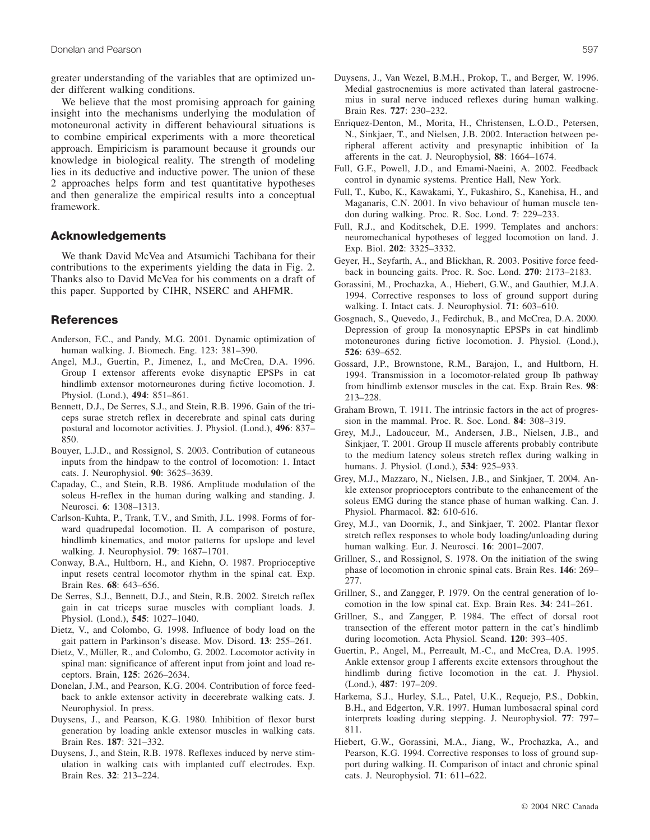greater understanding of the variables that are optimized under different walking conditions.

We believe that the most promising approach for gaining insight into the mechanisms underlying the modulation of motoneuronal activity in different behavioural situations is to combine empirical experiments with a more theoretical approach. Empiricism is paramount because it grounds our knowledge in biological reality. The strength of modeling lies in its deductive and inductive power. The union of these 2 approaches helps form and test quantitative hypotheses and then generalize the empirical results into a conceptual framework.

## **Acknowledgements**

We thank David McVea and Atsumichi Tachibana for their contributions to the experiments yielding the data in Fig. 2. Thanks also to David McVea for his comments on a draft of this paper. Supported by CIHR, NSERC and AHFMR.

### **References**

- Anderson, F.C., and Pandy, M.G. 2001. Dynamic optimization of human walking. J. Biomech. Eng. 123: 381–390.
- Angel, M.J., Guertin, P., Jimenez, I., and McCrea, D.A. 1996. Group I extensor afferents evoke disynaptic EPSPs in cat hindlimb extensor motorneurones during fictive locomotion. J. Physiol. (Lond.), **494**: 851–861.
- Bennett, D.J., De Serres, S.J., and Stein, R.B. 1996. Gain of the triceps surae stretch reflex in decerebrate and spinal cats during postural and locomotor activities. J. Physiol. (Lond.), **496**: 837– 850.
- Bouyer, L.J.D., and Rossignol, S. 2003. Contribution of cutaneous inputs from the hindpaw to the control of locomotion: 1. Intact cats. J. Neurophysiol. **90**: 3625–3639.
- Capaday, C., and Stein, R.B. 1986. Amplitude modulation of the soleus H-reflex in the human during walking and standing. J. Neurosci. **6**: 1308–1313.
- Carlson-Kuhta, P., Trank, T.V., and Smith, J.L. 1998. Forms of forward quadrupedal locomotion. II. A comparison of posture, hindlimb kinematics, and motor patterns for upslope and level walking. J. Neurophysiol. **79**: 1687–1701.
- Conway, B.A., Hultborn, H., and Kiehn, O. 1987. Proprioceptive input resets central locomotor rhythm in the spinal cat. Exp. Brain Res. **68**: 643–656.
- De Serres, S.J., Bennett, D.J., and Stein, R.B. 2002. Stretch reflex gain in cat triceps surae muscles with compliant loads. J. Physiol. (Lond.), **545**: 1027–1040.
- Dietz, V., and Colombo, G. 1998. Influence of body load on the gait pattern in Parkinson's disease. Mov. Disord. **13**: 255–261.
- Dietz, V., Müller, R., and Colombo, G. 2002. Locomotor activity in spinal man: significance of afferent input from joint and load receptors. Brain, **125**: 2626–2634.
- Donelan, J.M., and Pearson, K.G. 2004. Contribution of force feedback to ankle extensor activity in decerebrate walking cats. J. Neurophysiol. In press.
- Duysens, J., and Pearson, K.G. 1980. Inhibition of flexor burst generation by loading ankle extensor muscles in walking cats. Brain Res. **187**: 321–332.
- Duysens, J., and Stein, R.B. 1978. Reflexes induced by nerve stimulation in walking cats with implanted cuff electrodes. Exp. Brain Res. **32**: 213–224.
- Duysens, J., Van Wezel, B.M.H., Prokop, T., and Berger, W. 1996. Medial gastrocnemius is more activated than lateral gastrocnemius in sural nerve induced reflexes during human walking. Brain Res. **727**: 230–232.
- Enriquez-Denton, M., Morita, H., Christensen, L.O.D., Petersen, N., Sinkjaer, T., and Nielsen, J.B. 2002. Interaction between peripheral afferent activity and presynaptic inhibition of Ia afferents in the cat. J. Neurophysiol, **88**: 1664–1674.
- Full, G.F., Powell, J.D., and Emami-Naeini, A. 2002. Feedback control in dynamic systems. Prentice Hall, New York.
- Full, T., Kubo, K., Kawakami, Y., Fukashiro, S., Kanehisa, H., and Maganaris, C.N. 2001. In vivo behaviour of human muscle tendon during walking. Proc. R. Soc. Lond. **7**: 229–233.
- Full, R.J., and Koditschek, D.E. 1999. Templates and anchors: neuromechanical hypotheses of legged locomotion on land. J. Exp. Biol. **202**: 3325–3332.
- Geyer, H., Seyfarth, A., and Blickhan, R. 2003. Positive force feedback in bouncing gaits. Proc. R. Soc. Lond. **270**: 2173–2183.
- Gorassini, M., Prochazka, A., Hiebert, G.W., and Gauthier, M.J.A. 1994. Corrective responses to loss of ground support during walking. I. Intact cats. J. Neurophysiol. **71**: 603–610.
- Gosgnach, S., Quevedo, J., Fedirchuk, B., and McCrea, D.A. 2000. Depression of group Ia monosynaptic EPSPs in cat hindlimb motoneurones during fictive locomotion. J. Physiol. (Lond.), **526**: 639–652.
- Gossard, J.P., Brownstone, R.M., Barajon, I., and Hultborn, H. 1994. Transmission in a locomotor-related group Ib pathway from hindlimb extensor muscles in the cat. Exp. Brain Res. **98**: 213–228.
- Graham Brown, T. 1911. The intrinsic factors in the act of progression in the mammal. Proc. R. Soc. Lond. **84**: 308–319.
- Grey, M.J., Ladouceur, M., Andersen, J.B., Nielsen, J.B., and Sinkjaer, T. 2001. Group II muscle afferents probably contribute to the medium latency soleus stretch reflex during walking in humans. J. Physiol. (Lond.), **534**: 925–933.
- Grey, M.J., Mazzaro, N., Nielsen, J.B., and Sinkjaer, T. 2004. Ankle extensor proprioceptors contribute to the enhancement of the soleus EMG during the stance phase of human walking. Can. J. Physiol. Pharmacol. **82**: 610-616.
- Grey, M.J., van Doornik, J., and Sinkjaer, T. 2002. Plantar flexor stretch reflex responses to whole body loading/unloading during human walking. Eur. J. Neurosci. **16**: 2001–2007.
- Grillner, S., and Rossignol, S. 1978. On the initiation of the swing phase of locomotion in chronic spinal cats. Brain Res. **146**: 269– 277.
- Grillner, S., and Zangger, P. 1979. On the central generation of locomotion in the low spinal cat. Exp. Brain Res. **34**: 241–261.
- Grillner, S., and Zangger, P. 1984. The effect of dorsal root transection of the efferent motor pattern in the cat's hindlimb during locomotion. Acta Physiol. Scand. **120**: 393–405.
- Guertin, P., Angel, M., Perreault, M.-C., and McCrea, D.A. 1995. Ankle extensor group I afferents excite extensors throughout the hindlimb during fictive locomotion in the cat. J. Physiol. (Lond.), **487**: 197–209.
- Harkema, S.J., Hurley, S.L., Patel, U.K., Requejo, P.S., Dobkin, B.H., and Edgerton, V.R. 1997. Human lumbosacral spinal cord interprets loading during stepping. J. Neurophysiol. **77**: 797– 811.
- Hiebert, G.W., Gorassini, M.A., Jiang, W., Prochazka, A., and Pearson, K.G. 1994. Corrective responses to loss of ground support during walking. II. Comparison of intact and chronic spinal cats. J. Neurophysiol. **71**: 611–622.